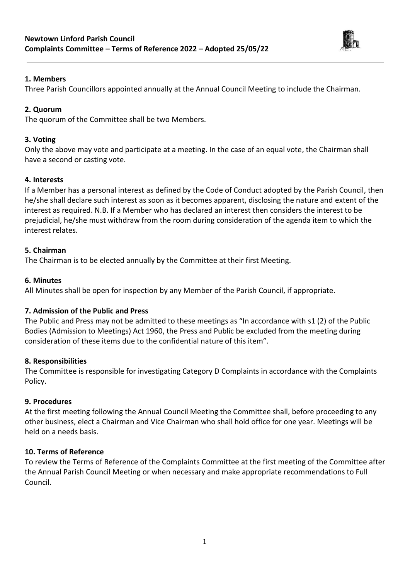

### **1. Members**

Three Parish Councillors appointed annually at the Annual Council Meeting to include the Chairman.

## **2. Quorum**

The quorum of the Committee shall be two Members.

## **3. Voting**

Only the above may vote and participate at a meeting. In the case of an equal vote, the Chairman shall have a second or casting vote.

# **4. Interests**

If a Member has a personal interest as defined by the Code of Conduct adopted by the Parish Council, then he/she shall declare such interest as soon as it becomes apparent, disclosing the nature and extent of the interest as required. N.B. If a Member who has declared an interest then considers the interest to be prejudicial, he/she must withdraw from the room during consideration of the agenda item to which the interest relates.

## **5. Chairman**

The Chairman is to be elected annually by the Committee at their first Meeting.

### **6. Minutes**

All Minutes shall be open for inspection by any Member of the Parish Council, if appropriate.

# **7. Admission of the Public and Press**

The Public and Press may not be admitted to these meetings as "In accordance with s1 (2) of the Public Bodies (Admission to Meetings) Act 1960, the Press and Public be excluded from the meeting during consideration of these items due to the confidential nature of this item".

### **8. Responsibilities**

The Committee is responsible for investigating Category D Complaints in accordance with the Complaints Policy.

### **9. Procedures**

At the first meeting following the Annual Council Meeting the Committee shall, before proceeding to any other business, elect a Chairman and Vice Chairman who shall hold office for one year. Meetings will be held on a needs basis.

### **10. Terms of Reference**

To review the Terms of Reference of the Complaints Committee at the first meeting of the Committee after the Annual Parish Council Meeting or when necessary and make appropriate recommendations to Full Council.